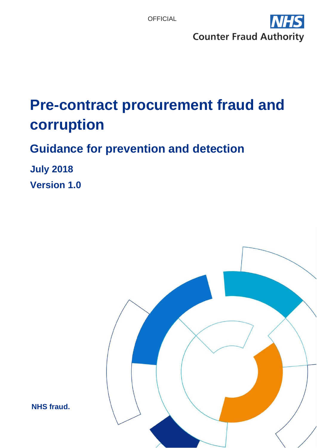

# **Pre-contract procurement fraud and corruption**

# **Guidance for prevention and detection**

**July 2018**

**Version 1.0**



**NHS fraud.**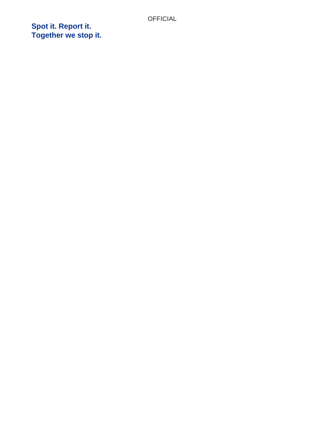**Spot it. Report it. Together we stop it.**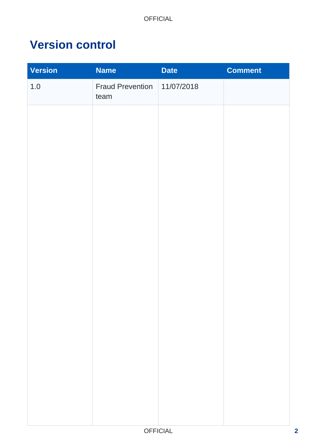# **Version control**

| <b>Version</b> | <b>Name</b>                     | <b>Date</b> | <b>Comment</b> |
|----------------|---------------------------------|-------------|----------------|
| $1.0\,$        | <b>Fraud Prevention</b><br>team | 11/07/2018  |                |
|                |                                 |             |                |
|                |                                 |             |                |
|                |                                 |             |                |
|                |                                 |             |                |
|                |                                 |             |                |
|                |                                 |             |                |
|                |                                 |             |                |
|                |                                 |             |                |
|                |                                 |             |                |
|                |                                 |             |                |
|                |                                 |             |                |
|                |                                 |             |                |
|                |                                 |             |                |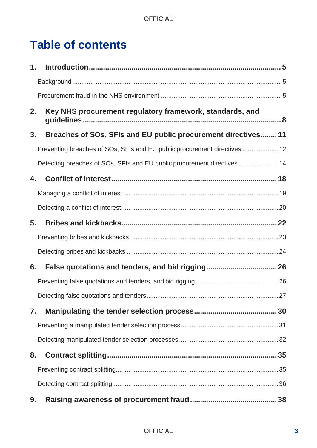# **Table of contents**

| 1. |                                                                           |  |
|----|---------------------------------------------------------------------------|--|
|    |                                                                           |  |
|    |                                                                           |  |
| 2. | Key NHS procurement regulatory framework, standards, and                  |  |
| 3. | Breaches of SOs, SFIs and EU public procurement directives 11             |  |
|    | Preventing breaches of SOs, SFIs and EU public procurement directives  12 |  |
|    | Detecting breaches of SOs, SFIs and EU public procurement directives  14  |  |
| 4. |                                                                           |  |
|    |                                                                           |  |
|    |                                                                           |  |
| 5. |                                                                           |  |
|    |                                                                           |  |
|    |                                                                           |  |
| 6. |                                                                           |  |
|    |                                                                           |  |
|    |                                                                           |  |
| 7. |                                                                           |  |
|    |                                                                           |  |
|    |                                                                           |  |
| 8. |                                                                           |  |
|    |                                                                           |  |
|    |                                                                           |  |
| 9. |                                                                           |  |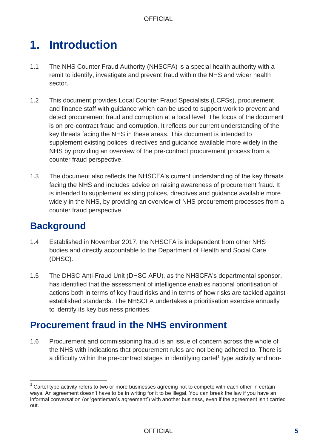# <span id="page-5-0"></span>**1. Introduction**

- 1.1 The NHS Counter Fraud Authority (NHSCFA) is a special health authority with a remit to identify, investigate and prevent fraud within the NHS and wider health sector.
- 1.2 This document provides Local Counter Fraud Specialists (LCFSs), procurement and finance staff with guidance which can be used to support work to prevent and detect procurement fraud and corruption at a local level. The focus of the document is on pre-contract fraud and corruption. It reflects our current understanding of the key threats facing the NHS in these areas. This document is intended to supplement existing polices, directives and guidance available more widely in the NHS by providing an overview of the pre-contract procurement process from a counter fraud perspective.
- 1.3 The document also reflects the NHSCFA's current understanding of the key threats facing the NHS and includes advice on raising awareness of procurement fraud. It is intended to supplement existing polices, directives and guidance available more widely in the NHS, by providing an overview of NHS procurement processes from a counter fraud perspective.

## <span id="page-5-1"></span>**Background**

- 1.4 Established in November 2017, the NHSCFA is independent from other NHS bodies and directly accountable to the Department of Health and Social Care (DHSC).
- 1.5 The DHSC Anti-Fraud Unit (DHSC AFU), as the NHSCFA's departmental sponsor, has identified that the assessment of intelligence enables national prioritisation of actions both in terms of key fraud risks and in terms of how risks are tackled against established standards. The NHSCFA undertakes a prioritisation exercise annually to identify its key business priorities.

## <span id="page-5-2"></span>**Procurement fraud in the NHS environment**

1.6 Procurement and commissioning fraud is an issue of concern across the whole of the NHS with indications that procurement rules are not being adhered to. There is a difficulty within the pre-contract stages in identifying cartel<sup>1</sup> type activity and non-

 $1$  Cartel tvpe activity refers to two or more businesses agreeing not to compete with each other in certain ways. An agreement doesn't have to be in writing for it to be illegal. You can break the law if you have an informal conversation (or 'gentleman's agreement') with another business, even if the agreement isn't carried out.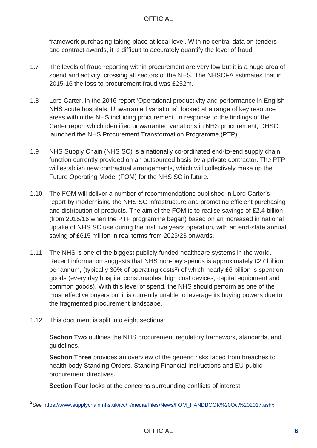framework purchasing taking place at local level. With no central data on tenders and contract awards, it is difficult to accurately quantify the level of fraud.

- 1.7 The levels of fraud reporting within procurement are very low but it is a huge area of spend and activity, crossing all sectors of the NHS. The NHSCFA estimates that in 2015-16 the loss to procurement fraud was £252m.
- 1.8 Lord Carter, in the 2016 report 'Operational productivity and performance in English NHS acute hospitals: Unwarranted variations', looked at a range of key resource areas within the NHS including procurement. In response to the findings of the Carter report which identified unwarranted variations in NHS procurement, DHSC launched the NHS Procurement Transformation Programme (PTP).
- 1.9 NHS Supply Chain (NHS SC) is a nationally co-ordinated end-to-end supply chain function currently provided on an outsourced basis by a private contractor. The PTP will establish new contractual arrangements, which will collectively make up the Future Operating Model (FOM) for the NHS SC in future.
- 1.10 The FOM will deliver a number of recommendations published in Lord Carter's report by modernising the NHS SC infrastructure and promoting efficient purchasing and distribution of products. The aim of the FOM is to realise savings of £2.4 billion (from 2015/16 when the PTP programme began) based on an increased in national uptake of NHS SC use during the first five years operation, with an end-state annual saving of £615 million in real terms from 2023/23 onwards.
- 1.11 The NHS is one of the biggest publicly funded healthcare systems in the world. Recent information suggests that NHS non-pay spends is approximately £27 billion per annum, (typically 30% of operating costs<sup>2</sup>) of which nearly £6 billion is spent on goods (every day hospital consumables, high cost devices, capital equipment and common goods). With this level of spend, the NHS should perform as one of the most effective buyers but it is currently unable to leverage its buying powers due to the fragmented procurement landscape.
- 1.12 This document is split into eight sections:

**Section Two** outlines the NHS procurement regulatory framework, standards, and guidelines.

**Section Three** provides an overview of the generic risks faced from breaches to health body Standing Orders, Standing Financial Instructions and EU public procurement directives.

**Section Four looks at the concerns surrounding conflicts of interest.** 

<sup>&</sup>lt;sup>2</sup>See [https://www.supplychain.nhs.uk/icc/~/media/Files/News/FOM\\_HANDBOOK%20Oct%202017.ashx](https://www.supplychain.nhs.uk/icc/~/media/Files/News/FOM_HANDBOOK%20Oct%202017.ashx)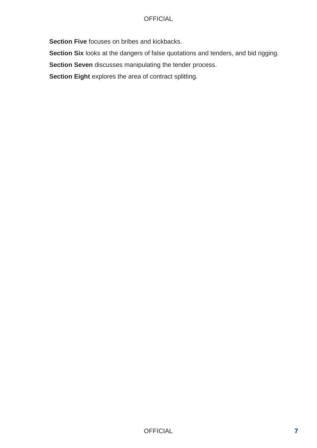**Section Five** focuses on bribes and kickbacks.

**Section Six** looks at the dangers of false quotations and tenders, and bid rigging.

**Section Seven** discusses manipulating the tender process.

**Section Eight** explores the area of contract splitting.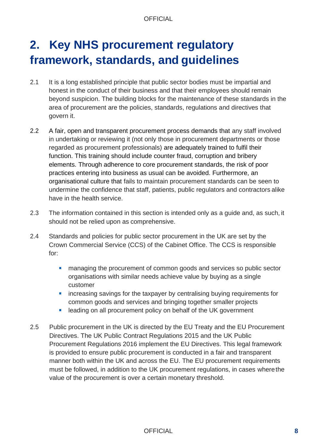# <span id="page-8-0"></span>**2. Key NHS procurement regulatory framework, standards, and guidelines**

- 2.1 It is a long established principle that public sector bodies must be impartial and honest in the conduct of their business and that their employees should remain beyond suspicion. The building blocks for the maintenance of these standards in the area of procurement are the policies, standards, regulations and directives that govern it.
- 2.2 A fair, open and transparent procurement process demands that any staff involved in undertaking or reviewing it (not only those in procurement departments or those regarded as procurement professionals) are adequately trained to fulfil their function. This training should include counter fraud, corruption and bribery elements. Through adherence to core procurement standards, the risk of poor practices entering into business as usual can be avoided. Furthermore, an organisational culture that fails to maintain procurement standards can be seen to undermine the confidence that staff, patients, public regulators and contractors alike have in the health service.
- 2.3 The information contained in this section is intended only as a guide and, as such, it should not be relied upon as comprehensive.
- 2.4 Standards and policies for public sector procurement in the UK are set by the Crown Commercial Service (CCS) of the Cabinet Office. The CCS is responsible for:
	- **EXECT** managing the procurement of common goods and services so public sector organisations with similar needs achieve value by buying as a single customer
	- **EXEDENT** increasing savings for the taxpayer by centralising buying requirements for common goods and services and bringing together smaller projects
	- leading on all procurement policy on behalf of the UK government
- 2.5 Public procurement in the UK is directed by the EU Treaty and the EU Procurement Directives. The UK Public Contract Regulations 2015 and the UK Public Procurement Regulations 2016 implement the EU Directives. This legal framework is provided to ensure public procurement is conducted in a fair and transparent manner both within the UK and across the EU. The EU procurement requirements must be followed, in addition to the UK procurement regulations, in cases wherethe value of the procurement is over a certain monetary threshold.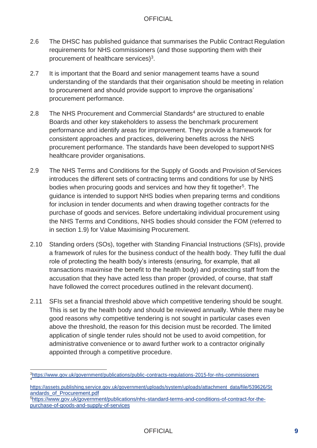- 2.6 The DHSC has published guidance that summarises the Public Contract Regulation requirements for NHS commissioners (and those supporting them with their procurement of healthcare services)<sup>3</sup>.
- 2.7 It is important that the Board and senior management teams have a sound understanding of the standards that their organisation should be meeting in relation to procurement and should provide support to improve the organisations' procurement performance.
- 2.8 The NHS Procurement and Commercial Standards<sup>4</sup> are structured to enable Boards and other key stakeholders to assess the benchmark procurement performance and identify areas for improvement. They provide a framework for consistent approaches and practices, delivering benefits across the NHS procurement performance. The standards have been developed to support NHS healthcare provider organisations.
- 2.9 The NHS Terms and Conditions for the Supply of Goods and Provision of Services introduces the different sets of contracting terms and conditions for use by NHS bodies when procuring goods and services and how they fit together<sup>5</sup>. The guidance is intended to support NHS bodies when preparing terms and conditions for inclusion in tender documents and when drawing together contracts for the purchase of goods and services. Before undertaking individual procurement using the NHS Terms and Conditions, NHS bodies should consider the FOM (referred to in section 1.9) for Value Maximising Procurement.
- 2.10 Standing orders (SOs), together with Standing Financial Instructions (SFIs), provide a framework of rules for the business conduct of the health body. They fulfil the dual role of protecting the health body's interests (ensuring, for example, that all transactions maximise the benefit to the health body) and protecting staff from the accusation that they have acted less than proper (provided, of course, that staff have followed the correct procedures outlined in the relevant document).
- 2.11 SFIs set a financial threshold above which competitive tendering should be sought. This is set by the health body and should be reviewed annually. While there may be good reasons why competitive tendering is not sought in particular cases even above the threshold, the reason for this decision must be recorded. The limited application of single tender rules should not be used to avoid competition, for administrative convenience or to award further work to a contractor originally appointed through a competitive procedure.

[https://assets.publishing.service.gov.uk/government/uploads/system/uploads/attachment\\_data/file/539626/St](https://assets.publishing.service.gov.uk/government/uploads/system/uploads/attachment_data/file/539626/Standards_of_Procurement.pdf) [andards\\_of\\_Procurement.pdf](https://assets.publishing.service.gov.uk/government/uploads/system/uploads/attachment_data/file/539626/Standards_of_Procurement.pdf)

5[https://www.gov.uk/government/publications/nhs-standard-terms-and-conditions-of-contract-for-the](https://www.gov.uk/government/publications/nhs-standard-terms-and-conditions-of-contract-for-the-purchase-of-goods-and-supply-of-services)[purchase-of-goods-and-supply-of-services](https://www.gov.uk/government/publications/nhs-standard-terms-and-conditions-of-contract-for-the-purchase-of-goods-and-supply-of-services)

<sup>3</sup><https://www.gov.uk/government/publications/public-contracts-regulations-2015-for-nhs-commissioners> 4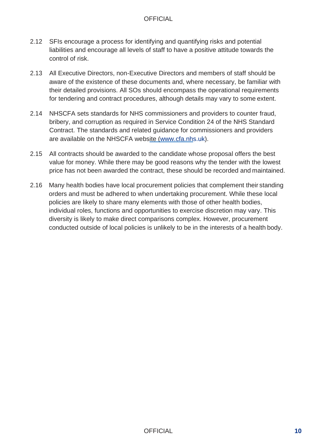- 2.12 SFIs encourage a process for identifying and quantifying risks and potential liabilities and encourage all levels of staff to have a positive attitude towards the control of risk.
- 2.13 All Executive Directors, non-Executive Directors and members of staff should be aware of the existence of these documents and, where necessary, be familiar with their detailed provisions. All SOs should encompass the operational requirements for tendering and contract procedures, although details may vary to some extent.
- 2.14 NHSCFA sets standards for NHS commissioners and providers to counter fraud, bribery, and corruption as required in Service Condition 24 of the NHS Standard Contract. The standards and related guidance for commissioners and providers are available on the NHSCFA website [\(www.cfa.nhs](http://www.cfa.nhs.uk/).uk).
- 2.15 All contracts should be awarded to the candidate whose proposal offers the best value for money. While there may be good reasons why the tender with the lowest price has not been awarded the contract, these should be recorded and maintained.
- 2.16 Many health bodies have local procurement policies that complement their standing orders and must be adhered to when undertaking procurement. While these local policies are likely to share many elements with those of other health bodies, individual roles, functions and opportunities to exercise discretion may vary. This diversity is likely to make direct comparisons complex. However, procurement conducted outside of local policies is unlikely to be in the interests of a health body.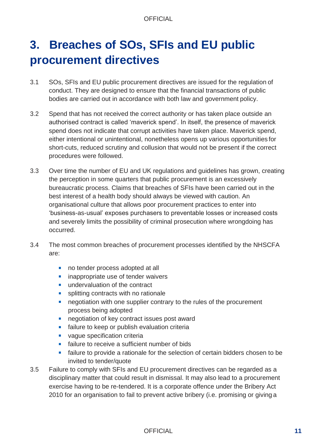# <span id="page-11-0"></span>**3. Breaches of SOs, SFIs and EU public procurement directives**

- 3.1 SOs, SFIs and EU public procurement directives are issued for the regulation of conduct. They are designed to ensure that the financial transactions of public bodies are carried out in accordance with both law and government policy.
- 3.2 Spend that has not received the correct authority or has taken place outside an authorised contract is called 'maverick spend'. In itself, the presence of maverick spend does not indicate that corrupt activities have taken place. Maverick spend, either intentional or unintentional, nonetheless opens up various opportunities for short-cuts, reduced scrutiny and collusion that would not be present if the correct procedures were followed.
- 3.3 Over time the number of EU and UK regulations and guidelines has grown, creating the perception in some quarters that public procurement is an excessively bureaucratic process. Claims that breaches of SFIs have been carried out in the best interest of a health body should always be viewed with caution. An organisational culture that allows poor procurement practices to enter into 'business-as-usual' exposes purchasers to preventable losses or increased costs and severely limits the possibility of criminal prosecution where wrongdoing has occurred.
- 3.4 The most common breaches of procurement processes identified by the NHSCFA are:
	- no tender process adopted at all
	- inappropriate use of tender waivers
	- undervaluation of the contract
	- splitting contracts with no rationale
	- negotiation with one supplier contrary to the rules of the procurement process being adopted
	- negotiation of key contract issues post award
	- failure to keep or publish evaluation criteria
	- vague specification criteria
	- failure to receive a sufficient number of bids
	- **EXECT** failure to provide a rationale for the selection of certain bidders chosen to be invited to tender/quote
- 3.5 Failure to comply with SFIs and EU procurement directives can be regarded as a disciplinary matter that could result in dismissal. It may also lead to a procurement exercise having to be re-tendered. It is a corporate offence under the Bribery Act 2010 for an organisation to fail to prevent active bribery (i.e. promising or giving a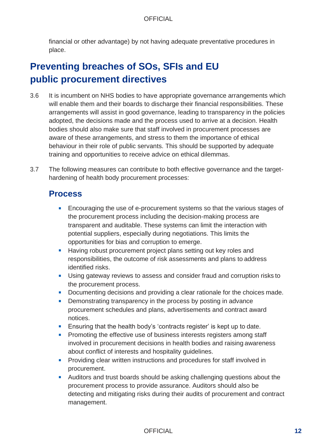financial or other advantage) by not having adequate preventative procedures in place.

## <span id="page-12-0"></span>**Preventing breaches of SOs, SFIs and EU public procurement directives**

- 3.6 It is incumbent on NHS bodies to have appropriate governance arrangements which will enable them and their boards to discharge their financial responsibilities. These arrangements will assist in good governance, leading to transparency in the policies adopted, the decisions made and the process used to arrive at a decision. Health bodies should also make sure that staff involved in procurement processes are aware of these arrangements, and stress to them the importance of ethical behaviour in their role of public servants. This should be supported by adequate training and opportunities to receive advice on ethical dilemmas.
- 3.7 The following measures can contribute to both effective governance and the targethardening of health body procurement processes:

### **Process**

- Encouraging the use of e-procurement systems so that the various stages of the procurement process including the decision-making process are transparent and auditable. These systems can limit the interaction with potential suppliers, especially during negotiations. This limits the opportunities for bias and corruption to emerge.
- Having robust procurement project plans setting out key roles and responsibilities, the outcome of risk assessments and plans to address identified risks.
- Using gateway reviews to assess and consider fraud and corruption risks to the procurement process.
- Documenting decisions and providing a clear rationale for the choices made.
- Demonstrating transparency in the process by posting in advance procurement schedules and plans, advertisements and contract award notices.
- **Ensuring that the health body's 'contracts register' is kept up to date.**
- Promoting the effective use of business interests registers among staff involved in procurement decisions in health bodies and raising awareness about conflict of interests and hospitality guidelines.
- Providing clear written instructions and procedures for staff involved in procurement.
- Auditors and trust boards should be asking challenging questions about the procurement process to provide assurance. Auditors should also be detecting and mitigating risks during their audits of procurement and contract management.

### OFFICIAL **12**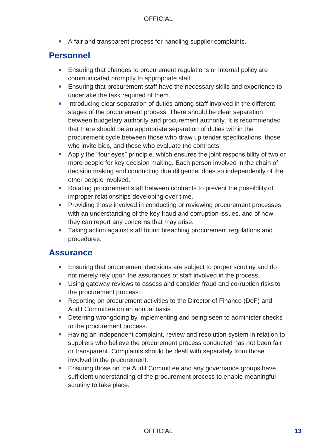■ A fair and transparent process for handling supplier complaints.

### **Personnel**

- **Ensuring that changes to procurement regulations or internal policy are** communicated promptly to appropriate staff.
- **Ensuring that procurement staff have the necessary skills and experience to** undertake the task required of them.
- **·** Introducing clear separation of duties among staff involved in the different stages of the procurement process. There should be clear separation between budgetary authority and procurement authority. It is recommended that there should be an appropriate separation of duties within the procurement cycle between those who draw up tender specifications, those who invite bids, and those who evaluate the contracts.
- Apply the "four eyes" principle, which ensures the joint responsibility of two or more people for key decision making. Each person involved in the chain of decision making and conducting due diligence, does so independently of the other people involved.
- Rotating procurement staff between contracts to prevent the possibility of improper relationships developing over time.
- **•** Providing those involved in conducting or reviewing procurement processes with an understanding of the key fraud and corruption issues, and of how they can report any concerns that may arise.
- Taking action against staff found breaching procurement regulations and procedures.

### **Assurance**

- **Ensuring that procurement decisions are subject to proper scrutiny and do** not merely rely upon the assurances of staff involved in the process.
- Using gateway reviews to assess and consider fraud and corruption risks to the procurement process.
- Reporting on procurement activities to the Director of Finance (DoF) and Audit Committee on an annual basis.
- **•** Deterring wrongdoing by implementing and being seen to administer checks to the procurement process.
- Having an independent complaint, review and resolution system in relation to suppliers who believe the procurement process conducted has not been fair or transparent. Complaints should be dealt with separately from those involved in the procurement.
- **Ensuring those on the Audit Committee and any governance groups have** sufficient understanding of the procurement process to enable meaningful scrutiny to take place.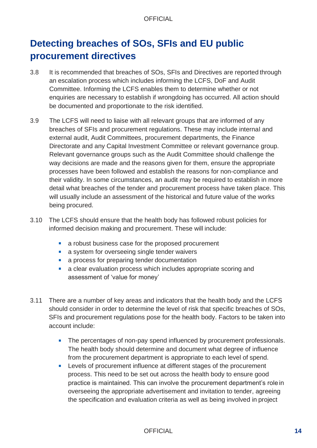## <span id="page-14-0"></span>**Detecting breaches of SOs, SFIs and EU public procurement directives**

- 3.8 It is recommended that breaches of SOs, SFIs and Directives are reported through an escalation process which includes informing the LCFS, DoF and Audit Committee. Informing the LCFS enables them to determine whether or not enquiries are necessary to establish if wrongdoing has occurred. All action should be documented and proportionate to the risk identified.
- 3.9 The LCFS will need to liaise with all relevant groups that are informed of any breaches of SFIs and procurement regulations. These may include internal and external audit, Audit Committees, procurement departments, the Finance Directorate and any Capital Investment Committee or relevant governance group. Relevant governance groups such as the Audit Committee should challenge the way decisions are made and the reasons given for them, ensure the appropriate processes have been followed and establish the reasons for non-compliance and their validity. In some circumstances, an audit may be required to establish in more detail what breaches of the tender and procurement process have taken place. This will usually include an assessment of the historical and future value of the works being procured.
- 3.10 The LCFS should ensure that the health body has followed robust policies for informed decision making and procurement. These will include:
	- a robust business case for the proposed procurement
	- a system for overseeing single tender waivers
	- a process for preparing tender documentation
	- a clear evaluation process which includes appropriate scoring and assessment of 'value for money'
- 3.11 There are a number of key areas and indicators that the health body and the LCFS should consider in order to determine the level of risk that specific breaches of SOs, SFIs and procurement regulations pose for the health body. Factors to be taken into account include:
	- The percentages of non-pay spend influenced by procurement professionals. The health body should determine and document what degree of influence from the procurement department is appropriate to each level of spend.
	- Levels of procurement influence at different stages of the procurement process. This need to be set out across the health body to ensure good practice is maintained. This can involve the procurement department's role in overseeing the appropriate advertisement and invitation to tender, agreeing the specification and evaluation criteria as well as being involved in project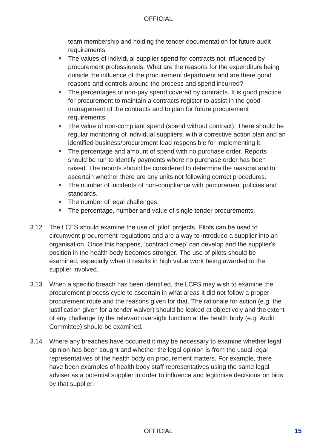team membership and holding the tender documentation for future audit requirements.

- The values of individual supplier spend for contracts not influenced by procurement professionals. What are the reasons for the expenditure being outside the influence of the procurement department and are there good reasons and controls around the process and spend incurred?
- The percentages of non-pay spend covered by contracts. It is good practice for procurement to maintain a contracts register to assist in the good management of the contracts and to plan for future procurement requirements.
- The value of non-compliant spend (spend without contract). There should be regular monitoring of individual suppliers, with a corrective action plan and an identified business/procurement lead responsible for implementing it.
- The percentage and amount of spend with no purchase order. Reports should be run to identify payments where no purchase order has been raised. The reports should be considered to determine the reasons and to ascertain whether there are any units not following correct procedures.
- The number of incidents of non-compliance with procurement policies and standards.
- The number of legal challenges.
- **•** The percentage, number and value of single tender procurements.
- 3.12 The LCFS should examine the use of 'pilot' projects. Pilots can be used to circumvent procurement regulations and are a way to introduce a supplier into an organisation. Once this happens, 'contract creep' can develop and the supplier's position in the health body becomes stronger. The use of pilots should be examined, especially when it results in high value work being awarded to the supplier involved.
- 3.13 When a specific breach has been identified, the LCFS may wish to examine the procurement process cycle to ascertain in what areas it did not follow a proper procurement route and the reasons given for that. The rationale for action (e.g. the justification given for a tender waiver) should be looked at objectively and the extent of any challenge by the relevant oversight function at the health body (e.g. Audit Committee) should be examined.
- 3.14 Where any breaches have occurred it may be necessary to examine whether legal opinion has been sought and whether the legal opinion is from the usual legal representatives of the health body on procurement matters. For example, there have been examples of health body staff representatives using the same legal adviser as a potential supplier in order to influence and legitimise decisions on bids by that supplier.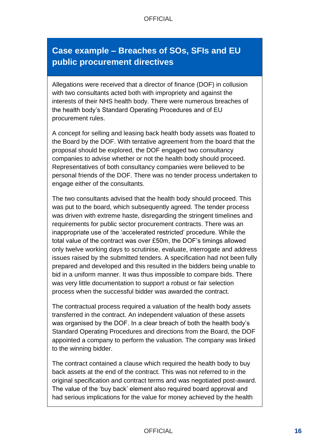## **Case example – Breaches of SOs, SFIs and EU public procurement directives**

Allegations were received that a director of finance (DOF) in collusion with two consultants acted both with impropriety and against the interests of their NHS health body. There were numerous breaches of the health body's Standard Operating Procedures and of EU procurement rules.

A concept for selling and leasing back health body assets was floated to the Board by the DOF. With tentative agreement from the board that the proposal should be explored, the DOF engaged two consultancy companies to advise whether or not the health body should proceed. Representatives of both consultancy companies were believed to be personal friends of the DOF. There was no tender process undertaken to engage either of the consultants.

The two consultants advised that the health body should proceed. This was put to the board, which subsequently agreed. The tender process was driven with extreme haste, disregarding the stringent timelines and requirements for public sector procurement contracts. There was an inappropriate use of the 'accelerated restricted' procedure. While the total value of the contract was over £50m, the DOF's timings allowed only twelve working days to scrutinise, evaluate, interrogate and address issues raised by the submitted tenders. A specification had not been fully prepared and developed and this resulted in the bidders being unable to bid in a uniform manner. It was thus impossible to compare bids. There was very little documentation to support a robust or fair selection process when the successful bidder was awarded the contract.

The contractual process required a valuation of the health body assets transferred in the contract. An independent valuation of these assets was organised by the DOF. In a clear breach of both the health body's Standard Operating Procedures and directions from the Board, the DOF appointed a company to perform the valuation. The company was linked to the winning bidder.

The contract contained a clause which required the health body to buy back assets at the end of the contract. This was not referred to in the original specification and contract terms and was negotiated post-award. The value of the 'buy back' element also required board approval and had serious implications for the value for money achieved by the health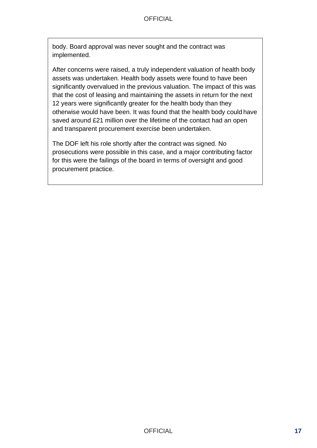body. Board approval was never sought and the contract was implemented.

After concerns were raised, a truly independent valuation of health body assets was undertaken. Health body assets were found to have been significantly overvalued in the previous valuation. The impact of this was that the cost of leasing and maintaining the assets in return for the next 12 years were significantly greater for the health body than they otherwise would have been. It was found that the health body could have saved around £21 million over the lifetime of the contact had an open and transparent procurement exercise been undertaken.

The DOF left his role shortly after the contract was signed. No prosecutions were possible in this case, and a major contributing factor for this were the failings of the board in terms of oversight and good procurement practice.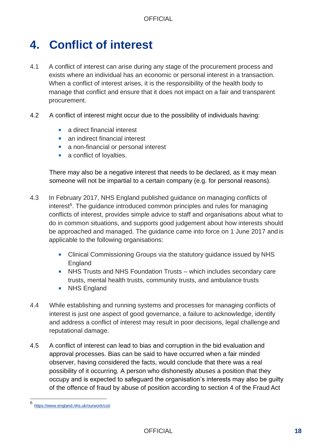# <span id="page-18-0"></span>**4. Conflict of interest**

- 4.1 A conflict of interest can arise during any stage of the procurement process and exists where an individual has an economic or personal interest in a transaction. When a conflict of interest arises, it is the responsibility of the health body to manage that conflict and ensure that it does not impact on a fair and transparent procurement.
- 4.2 A conflict of interest might occur due to the possibility of individuals having:
	- a direct financial interest
	- an indirect financial interest
	- a non-financial or personal interest
	- a conflict of loyalties.

There may also be a negative interest that needs to be declared, as it may mean someone will not be impartial to a certain company (e.g. for personal reasons).

- 4.3 In February 2017, NHS England published guidance on managing conflicts of interest<sup>6</sup>. The guidance introduced common principles and rules for managing conflicts of interest, provides simple advice to staff and organisations about what to do in common situations, and supports good judgement about how interests should be approached and managed. The guidance came into force on 1 June 2017 and is applicable to the following organisations:
	- Clinical Commissioning Groups via the statutory quidance issued by NHS England
	- NHS Trusts and NHS Foundation Trusts which includes secondary care trusts, mental health trusts, community trusts, and ambulance trusts
	- NHS England
- 4.4 While establishing and running systems and processes for managing conflicts of interest is just one aspect of good governance, a failure to acknowledge, identify and address a conflict of interest may result in poor decisions, legal challenge and reputational damage.
- 4.5 A conflict of interest can lead to bias and corruption in the bid evaluation and approval processes. Bias can be said to have occurred when a fair minded observer, having considered the facts, would conclude that there was a real possibility of it occurring. A person who dishonestly abuses a position that they occupy and is expected to safeguard the organisation's interests may also be guilty of the offence of fraud by abuse of position according to section 4 of the Fraud Act

<sup>6</sup> <https://www.england.nhs.uk/ourwork/coi/>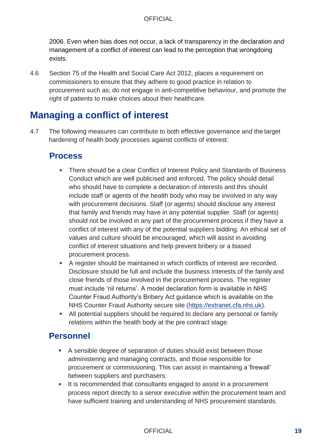2006. Even when bias does not occur, a lack of transparency in the declaration and management of a conflict of interest can lead to the perception that wrongdoing exists.

4.6 Section 75 of the Health and Social Care Act 2012, places a requirement on commissioners to ensure that they adhere to good practice in relation to procurement such as; do not engage in anti-competitive behaviour, and promote the right of patients to make choices about their healthcare.

## <span id="page-19-0"></span>**Managing a conflict of interest**

4.7 The following measures can contribute to both effective governance and the target hardening of health body processes against conflicts of interest:

### **Process**

- There should be a clear Conflict of Interest Policy and Standards of Business Conduct which are well publicised and enforced. The policy should detail who should have to complete a declaration of interests and this should include staff or agents of the health body who may be involved in any way with procurement decisions. Staff (or agents) should disclose any interest that family and friends may have in any potential supplier. Staff (or agents) should not be involved in any part of the procurement process if they have a conflict of interest with any of the potential suppliers bidding. An ethical set of values and culture should be encouraged, which will assist in avoiding conflict of interest situations and help prevent bribery or a biased procurement process.
- A register should be maintained in which conflicts of interest are recorded. Disclosure should be full and include the business interests of the family and close friends of those involved in the procurement process. The register must include 'nil returns'. A model declaration form is available in NHS Counter Fraud Authority's Bribery Act guidance which is available on the NHS Counter Fraud Authority secure site [\(https://extranet.cfa.nhs.uk\)](https://extranet.cfa.nhs.uk/).
- All potential suppliers should be required to declare any personal or family relations within the health body at the pre contract stage.

### **Personnel**

- A sensible degree of separation of duties should exist between those administering and managing contracts, and those responsible for procurement or commissioning. This can assist in maintaining a 'firewall' between suppliers and purchasers.
- It is recommended that consultants engaged to assist in a procurement process report directly to a senior executive within the procurement team and have sufficient training and understanding of NHS procurement standards.

### OFFICIAL **19**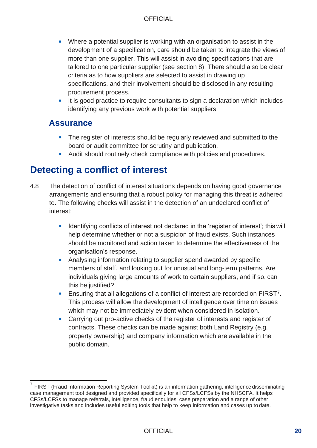- Where a potential supplier is working with an organisation to assist in the development of a specification, care should be taken to integrate the views of more than one supplier. This will assist in avoiding specifications that are tailored to one particular supplier (see section 8). There should also be clear criteria as to how suppliers are selected to assist in drawing up specifications, and their involvement should be disclosed in any resulting procurement process.
- It is good practice to require consultants to sign a declaration which includes identifying any previous work with potential suppliers.

### **Assurance**

- **•** The register of interests should be regularly reviewed and submitted to the board or audit committee for scrutiny and publication.
- Audit should routinely check compliance with policies and procedures.

## <span id="page-20-0"></span>**Detecting a conflict of interest**

- 4.8 The detection of conflict of interest situations depends on having good governance arrangements and ensuring that a robust policy for managing this threat is adhered to. The following checks will assist in the detection of an undeclared conflict of interest:
	- **EXEDENT** Identifying conflicts of interest not declared in the 'register of interest'; this will help determine whether or not a suspicion of fraud exists. Such instances should be monitored and action taken to determine the effectiveness of the organisation's response.
	- **E** Analysing information relating to supplier spend awarded by specific members of staff, and looking out for unusual and long-term patterns. Are individuals giving large amounts of work to certain suppliers, and if so, can this be justified?
	- **Ensuring that all allegations of a conflict of interest are recorded on FIRST<sup>7</sup>.** This process will allow the development of intelligence over time on issues which may not be immediately evident when considered in isolation.
	- Carrying out pro-active checks of the register of interests and register of contracts. These checks can be made against both Land Registry (e.g. property ownership) and company information which are available in the public domain.

<sup>&</sup>lt;sup>7</sup> FIRST (Fraud Information Reporting System Toolkit) is an information gathering, intelligence disseminating case management tool designed and provided specifically for all CFSs/LCFSs by the NHSCFA. It helps CFSs/LCFSs to manage referrals, intelligence, fraud enquiries, case preparation and a range of other investigative tasks and includes useful editing tools that help to keep information and cases up todate.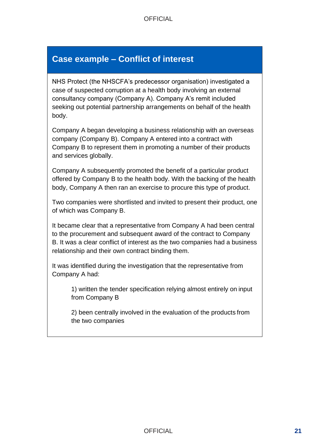### **Case example – Conflict of interest**

NHS Protect (the NHSCFA's predecessor organisation) investigated a case of suspected corruption at a health body involving an external consultancy company (Company A). Company A's remit included seeking out potential partnership arrangements on behalf of the health body.

Company A began developing a business relationship with an overseas company (Company B). Company A entered into a contract with Company B to represent them in promoting a number of their products and services globally.

Company A subsequently promoted the benefit of a particular product offered by Company B to the health body. With the backing of the health body, Company A then ran an exercise to procure this type of product.

Two companies were shortlisted and invited to present their product, one of which was Company B.

It became clear that a representative from Company A had been central to the procurement and subsequent award of the contract to Company B. It was a clear conflict of interest as the two companies had a business relationship and their own contract binding them.

It was identified during the investigation that the representative from Company A had:

1) written the tender specification relying almost entirely on input from Company B

2) been centrally involved in the evaluation of the products from the two companies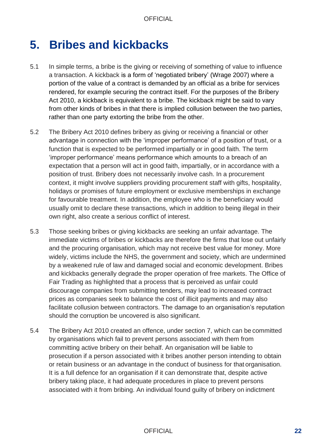## <span id="page-22-0"></span>**5. Bribes and kickbacks**

- 5.1 In simple terms, a bribe is the giving or receiving of something of value to influence a transaction. A kickback is a form of 'negotiated [bribery' \(](http://en.wikipedia.org/wiki/Bribery)Wrage 2007) where a portion of the value of a contract is demanded by an official as a bribe for services rendered, for example securing the contract itself. For the purposes of the Bribery Act 2010, a kickback is equivalent to a bribe. The kickback might be said to vary from other kinds of bribes in that there is implied [collusion b](http://en.wikipedia.org/wiki/Collusion)etween the two parties, rather than one party [extorting t](http://en.wikipedia.org/wiki/Extortion)he bribe from the other.
- 5.2 The Bribery Act 2010 defines bribery as giving or receiving a financial or other advantage in connection with the 'improper performance' of a position of trust, or a function that is expected to be performed impartially or in good faith. The term 'improper performance' means performance which amounts to a breach of an expectation that a person will act in good faith, impartially, or in accordance with a position of trust. Bribery does not necessarily involve cash. In a procurement context, it might involve suppliers providing procurement staff with gifts, hospitality, holidays or promises of future employment or exclusive memberships in exchange for favourable treatment. In addition, the employee who is the beneficiary would usually omit to declare these transactions, which in addition to being illegal in their own right, also create a serious conflict of interest.
- 5.3 Those seeking bribes or giving kickbacks are seeking an unfair advantage. The immediate victims of bribes or kickbacks are therefore the firms that lose out unfairly and the procuring organisation, which may not receive best value for money. More widely, victims include the NHS, the government and society, which are undermined by a weakened rule of law and damaged social and economic development. Bribes and kickbacks generally degrade the proper operation of free markets. The Office of Fair Trading as highlighted that a process that is perceived as unfair could discourage companies from submitting tenders, may lead to increased contract prices as companies seek to balance the cost of illicit payments and may also facilitate collusion between contractors. The damage to an organisation's reputation should the corruption be uncovered is also significant.
- 5.4 The Bribery Act 2010 created an offence, under section 7, which can be committed by organisations which fail to prevent persons associated with them from committing active bribery on their behalf. An organisation will be liable to prosecution if a person associated with it bribes another person intending to obtain or retain business or an advantage in the conduct of business for that organisation. It is a full defence for an organisation if it can demonstrate that, despite active bribery taking place, it had adequate procedures in place to prevent persons associated with it from bribing. An individual found guilty of bribery on indictment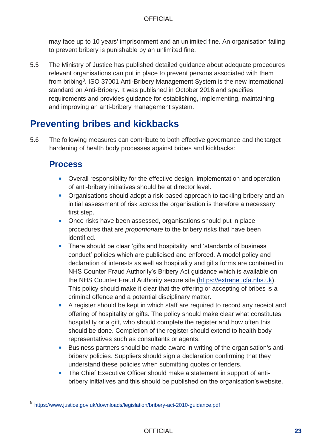may face up to 10 years' imprisonment and an unlimited fine. An organisation failing to prevent bribery is punishable by an unlimited fine.

5.5 The Ministry of Justice has published detailed guidance about adequate procedures relevant organisations can put in place to prevent persons associated with them from bribing<sup>8</sup>. ISO 37001 Anti-Bribery Management System is the new international standard on Anti-Bribery. It was published in October 2016 and specifies requirements and provides guidance for establishing, implementing, maintaining and improving an anti-bribery management system.

## <span id="page-23-0"></span>**Preventing bribes and kickbacks**

5.6 The following measures can contribute to both effective governance and the target hardening of health body processes against bribes and kickbacks:

### **Process**

- Overall responsibility for the effective design, implementation and operation of anti-bribery initiatives should be at director level.
- **Organisations should adopt a risk-based approach to tackling bribery and an** initial assessment of risk across the organisation is therefore a necessary first step.
- Once risks have been assessed, organisations should put in place procedures that are *proportionate* to the bribery risks that have been identified.
- **EXTER:** There should be clear 'gifts and hospitality' and 'standards of business conduct' policies which are publicised and enforced. A model policy and declaration of interests as well as hospitality and gifts forms are contained in NHS Counter Fraud Authority's Bribery Act guidance which is available on the NHS Counter Fraud Authority secure site [\(https://extranet.cfa.nhs.uk\)](https://extranet.cfa.nhs.uk/). This policy should make it clear that the offering or accepting of bribes is a criminal offence and a potential disciplinary matter.
- A register should be kept in which staff are required to record any receipt and offering of hospitality or gifts. The policy should make clear what constitutes hospitality or a gift, who should complete the register and how often this should be done. Completion of the register should extend to health body representatives such as consultants or agents.
- Business partners should be made aware in writing of the organisation's antibribery policies. Suppliers should sign a declaration confirming that they understand these policies when submitting quotes or tenders.
- **The Chief Executive Officer should make a statement in support of anti**bribery initiatives and this should be published on the organisation'swebsite.

<sup>8</sup> <https://www.justice.gov.uk/downloads/legislation/bribery-act-2010-guidance.pdf>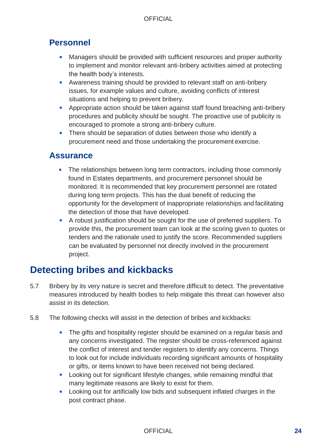### **Personnel**

- Managers should be provided with sufficient resources and proper authority to implement and monitor relevant anti-bribery activities aimed at protecting the health body's interests.
- Awareness training should be provided to relevant staff on anti-bribery issues, for example values and culture, avoiding conflicts of interest situations and helping to prevent bribery.
- **EXECT** Appropriate action should be taken against staff found breaching anti-bribery procedures and publicity should be sought. The proactive use of publicity is encouraged to promote a strong anti-bribery culture.
- **EXECT** There should be separation of duties between those who identify a procurement need and those undertaking the procurement exercise.

### **Assurance**

- **The relationships between long term contractors, including those commonly** found in Estates departments, and procurement personnel should be monitored. It is recommended that key procurement personnel are rotated during long term projects. This has the dual benefit of reducing the opportunity for the development of inappropriate relationships and facilitating the detection of those that have developed.
- A robust justification should be sought for the use of preferred suppliers. To provide this, the procurement team can look at the scoring given to quotes or tenders and the rationale used to justify the score. Recommended suppliers can be evaluated by personnel not directly involved in the procurement project.

## <span id="page-24-0"></span>**Detecting bribes and kickbacks**

- 5.7 Bribery by its very nature is secret and therefore difficult to detect. The preventative measures introduced by health bodies to help mitigate this threat can however also assist in its detection.
- 5.8 The following checks will assist in the detection of bribes and kickbacks:
	- The gifts and hospitality register should be examined on a regular basis and any concerns investigated. The register should be cross-referenced against the conflict of interest and tender registers to identify any concerns. Things to look out for include individuals recording significant amounts of hospitality or gifts, or items known to have been received not being declared.
	- Looking out for significant lifestyle changes, while remaining mindful that many legitimate reasons are likely to exist for them.
	- Looking out for artificially low bids and subsequent inflated charges in the post contract phase.

### OFFICIAL **24**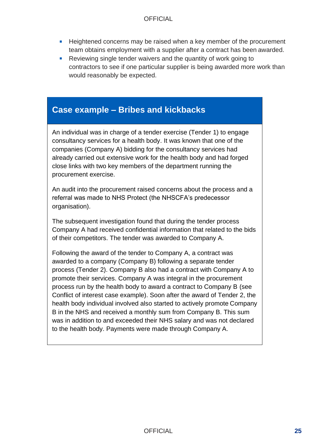- Heightened concerns may be raised when a key member of the procurement team obtains employment with a supplier after a contract has been awarded.
- Reviewing single tender waivers and the quantity of work going to contractors to see if one particular supplier is being awarded more work than would reasonably be expected.

### **Case example – Bribes and kickbacks**

An individual was in charge of a tender exercise (Tender 1) to engage consultancy services for a health body. It was known that one of the companies (Company A) bidding for the consultancy services had already carried out extensive work for the health body and had forged close links with two key members of the department running the procurement exercise.

An audit into the procurement raised concerns about the process and a referral was made to NHS Protect (the NHSCFA's predecessor organisation).

The subsequent investigation found that during the tender process Company A had received confidential information that related to the bids of their competitors. The tender was awarded to Company A.

Following the award of the tender to Company A, a contract was awarded to a company (Company B) following a separate tender process (Tender 2). Company B also had a contract with Company A to promote their services. Company A was integral in the procurement process run by the health body to award a contract to Company B (see Conflict of interest case example). Soon after the award of Tender 2, the health body individual involved also started to actively promote Company B in the NHS and received a monthly sum from Company B. This sum was in addition to and exceeded their NHS salary and was not declared to the health body. Payments were made through Company A.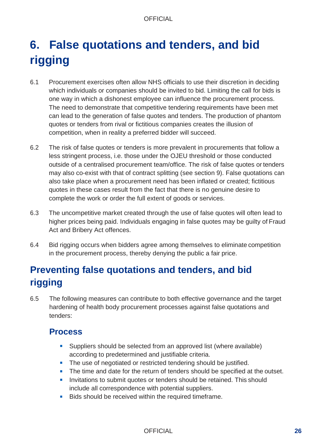# <span id="page-26-0"></span>**6. False quotations and tenders, and bid rigging**

- 6.1 Procurement exercises often allow NHS officials to use their discretion in deciding which individuals or companies should be invited to bid. Limiting the call for bids is one way in which a dishonest employee can influence the procurement process. The need to demonstrate that competitive tendering requirements have been met can lead to the generation of false quotes and tenders. The production of phantom quotes or tenders from rival or fictitious companies creates the illusion of competition, when in reality a preferred bidder will succeed.
- 6.2 The risk of false quotes or tenders is more prevalent in procurements that follow a less stringent process, i.e. those under the OJEU threshold or those conducted outside of a centralised procurement team/office. The risk of false quotes or tenders may also co-exist with that of contract splitting (see section 9). False quotations can also take place when a procurement need has been inflated or created; fictitious quotes in these cases result from the fact that there is no genuine desire to complete the work or order the full extent of goods or services.
- 6.3 The uncompetitive market created through the use of false quotes will often lead to higher prices being paid. Individuals engaging in false quotes may be guilty of Fraud Act and Bribery Act offences.
- 6.4 Bid rigging occurs when bidders agree among themselves to eliminate competition in the procurement process, thereby denying the public a fair price.

## <span id="page-26-1"></span>**Preventing false quotations and tenders, and bid rigging**

6.5 The following measures can contribute to both effective governance and the target hardening of health body procurement processes against false quotations and tenders:

### **Process**

- Suppliers should be selected from an approved list (where available) according to predetermined and justifiable criteria.
- **.** The use of negotiated or restricted tendering should be justified.
- The time and date for the return of tenders should be specified at the outset.
- **EXTERNAL INVITATIONS** Invitations to submit quotes or tenders should be retained. This should include all correspondence with potential suppliers.
- Bids should be received within the required timeframe.

### OFFICIAL **26**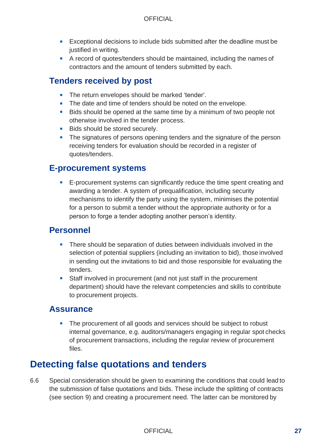- Exceptional decisions to include bids submitted after the deadline must be justified in writing.
- A record of quotes/tenders should be maintained, including the names of contractors and the amount of tenders submitted by each.

### **Tenders received by post**

- The return envelopes should be marked 'tender'.
- The date and time of tenders should be noted on the envelope.
- Bids should be opened at the same time by a minimum of two people not otherwise involved in the tender process.
- Bids should be stored securely.
- **•** The signatures of persons opening tenders and the signature of the person receiving tenders for evaluation should be recorded in a register of quotes/tenders.

### **E-procurement systems**

■ E-procurement systems can significantly reduce the time spent creating and awarding a tender. A system of prequalification, including security mechanisms to identify the party using the system, minimises the potential for a person to submit a tender without the appropriate authority or for a person to forge a tender adopting another person's identity.

### **Personnel**

- **•** There should be separation of duties between individuals involved in the selection of potential suppliers (including an invitation to bid), those involved in sending out the invitations to bid and those responsible for evaluating the tenders.
- Staff involved in procurement (and not just staff in the procurement department) should have the relevant competencies and skills to contribute to procurement projects.

### **Assurance**

■ The procurement of all goods and services should be subject to robust internal governance, e.g. auditors/managers engaging in regular spot checks of procurement transactions, including the regular review of procurement files.

## <span id="page-27-0"></span>**Detecting false quotations and tenders**

6.6 Special consideration should be given to examining the conditions that could lead to the submission of false quotations and bids. These include the splitting of contracts (see section 9) and creating a procurement need. The latter can be monitored by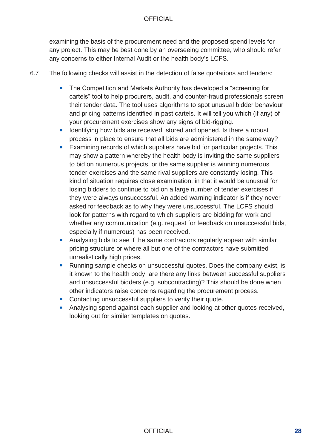examining the basis of the procurement need and the proposed spend levels for any project. This may be best done by an overseeing committee, who should refer any concerns to either Internal Audit or the health body's LCFS.

- 6.7 The following checks will assist in the detection of false quotations and tenders:
	- The Competition and Markets Authority has developed a "screening for cartels" tool to help procurers, audit, and counter-fraud professionals screen their tender data. The tool uses algorithms to spot unusual bidder behaviour and pricing patterns identified in past cartels. It will tell you which (if any) of your procurement exercises show any signs of bid-rigging.
	- **EXECT** Identifying how bids are received, stored and opened. Is there a robust process in place to ensure that all bids are administered in the same way?
	- Examining records of which suppliers have bid for particular projects. This may show a pattern whereby the health body is inviting the same suppliers to bid on numerous projects, or the same supplier is winning numerous tender exercises and the same rival suppliers are constantly losing. This kind of situation requires close examination, in that it would be unusual for losing bidders to continue to bid on a large number of tender exercises if they were always unsuccessful. An added warning indicator is if they never asked for feedback as to why they were unsuccessful. The LCFS should look for patterns with regard to which suppliers are bidding for work and whether any communication (e.g. request for feedback on unsuccessful bids, especially if numerous) has been received.
	- **Analysing bids to see if the same contractors regularly appear with similar** pricing structure or where all but one of the contractors have submitted unrealistically high prices.
	- Running sample checks on unsuccessful quotes. Does the company exist, is it known to the health body, are there any links between successful suppliers and unsuccessful bidders (e.g. subcontracting)? This should be done when other indicators raise concerns regarding the procurement process.
	- Contacting unsuccessful suppliers to verify their quote.
	- **EXECT** Analysing spend against each supplier and looking at other quotes received, looking out for similar templates on quotes.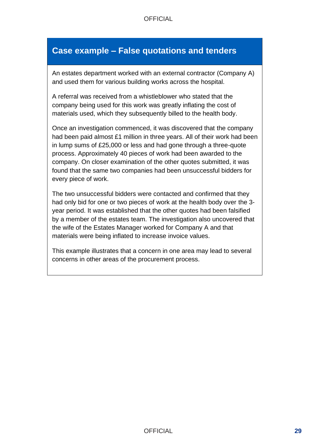### **Case example – False quotations and tenders**

An estates department worked with an external contractor (Company A) and used them for various building works across the hospital.

A referral was received from a whistleblower who stated that the company being used for this work was greatly inflating the cost of materials used, which they subsequently billed to the health body.

Once an investigation commenced, it was discovered that the company had been paid almost £1 million in three years. All of their work had been in lump sums of £25,000 or less and had gone through a three-quote process. Approximately 40 pieces of work had been awarded to the company. On closer examination of the other quotes submitted, it was found that the same two companies had been unsuccessful bidders for every piece of work.

The two unsuccessful bidders were contacted and confirmed that they had only bid for one or two pieces of work at the health body over the 3 year period. It was established that the other quotes had been falsified by a member of the estates team. The investigation also uncovered that the wife of the Estates Manager worked for Company A and that materials were being inflated to increase invoice values.

This example illustrates that a concern in one area may lead to several concerns in other areas of the procurement process.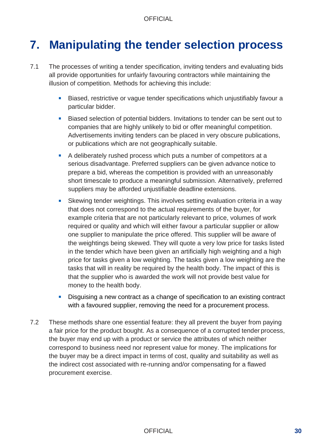# <span id="page-30-0"></span>**7. Manipulating the tender selection process**

- 7.1 The processes of writing a tender specification, inviting tenders and evaluating bids all provide opportunities for unfairly favouring contractors while maintaining the illusion of competition. Methods for achieving this include:
	- Biased, restrictive or vague tender specifications which unjustifiably favour a particular bidder.
	- Biased selection of potential bidders. Invitations to tender can be sent out to companies that are highly unlikely to bid or offer meaningful competition. Advertisements inviting tenders can be placed in very obscure publications, or publications which are not geographically suitable.
	- A deliberately rushed process which puts a number of competitors at a serious disadvantage. Preferred suppliers can be given advance notice to prepare a bid, whereas the competition is provided with an unreasonably short timescale to produce a meaningful submission. Alternatively, preferred suppliers may be afforded unjustifiable deadline extensions.
	- Skewing tender weightings. This involves setting evaluation criteria in a way that does not correspond to the actual requirements of the buyer, for example criteria that are not particularly relevant to price, volumes of work required or quality and which will either favour a particular supplier or allow one supplier to manipulate the price offered. This supplier will be aware of the weightings being skewed. They will quote a very low price for tasks listed in the tender which have been given an artificially high weighting and a high price for tasks given a low weighting. The tasks given a low weighting are the tasks that will in reality be required by the health body. The impact of this is that the supplier who is awarded the work will not provide best value for money to the health body.
	- Disguising a new contract as a change of specification to an existing contract with a favoured supplier, removing the need for a procurement process.
- 7.2 These methods share one essential feature: they all prevent the buyer from paying a fair price for the product bought. As a consequence of a corrupted tender process, the buyer may end up with a product or service the attributes of which neither correspond to business need nor represent value for money. The implications for the buyer may be a direct impact in terms of cost, quality and suitability as well as the indirect cost associated with re-running and/or compensating for a flawed procurement exercise.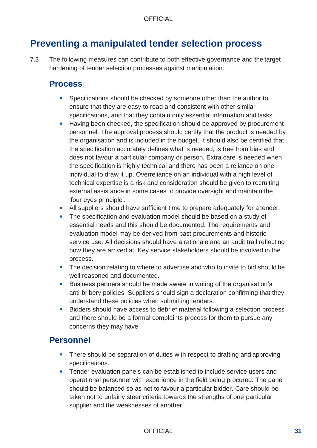## <span id="page-31-0"></span>**Preventing a manipulated tender selection process**

7.3 The following measures can contribute to both effective governance and the target hardening of tender selection processes against manipulation.

### **Process**

- **•** Specifications should be checked by someone other than the author to ensure that they are easy to read and consistent with other similar specifications, and that they contain only essential information and tasks.
- Having been checked, the specification should be approved by procurement personnel. The approval process should certify that the product is needed by the organisation and is included in the budget. It should also be certified that the specification accurately defines what is needed, is free from bias and does not favour a particular company or person. Extra care is needed when the specification is highly technical and there has been a reliance on one individual to draw it up. Overreliance on an individual with a high level of technical expertise is a risk and consideration should be given to recruiting external assistance in some cases to provide oversight and maintain the 'four eyes principle'.
- All suppliers should have sufficient time to prepare adequately for a tender.
- **The specification and evaluation model should be based on a study of** essential needs and this should be documented. The requirements and evaluation model may be derived from past procurements and historic service use. All decisions should have a rationale and an audit trail reflecting how they are arrived at. Key service stakeholders should be involved in the process.
- **•** The decision relating to where to advertise and who to invite to bid should be well reasoned and documented.
- Business partners should be made aware in writing of the organisation's anti-bribery policies. Suppliers should sign a declaration confirming that they understand these policies when submitting tenders.
- Bidders should have access to debrief material following a selection process and there should be a formal complaints process for them to pursue any concerns they may have.

### **Personnel**

- There should be separation of duties with respect to drafting and approving specifications.
- Tender evaluation panels can be established to include service users and operational personnel with experience in the field being procured. The panel should be balanced so as not to favour a particular bidder. Care should be taken not to unfairly steer criteria towards the strengths of one particular supplier and the weaknesses of another.

### OFFICIAL **31**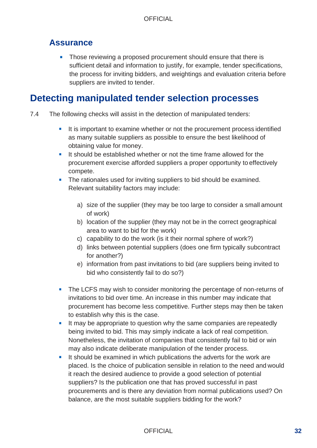## **Assurance**

Those reviewing a proposed procurement should ensure that there is sufficient detail and information to justify, for example, tender specifications, the process for inviting bidders, and weightings and evaluation criteria before suppliers are invited to tender.

## <span id="page-32-0"></span>**Detecting manipulated tender selection processes**

- 7.4 The following checks will assist in the detection of manipulated tenders:
	- It is important to examine whether or not the procurement process identified as many suitable suppliers as possible to ensure the best likelihood of obtaining value for money.
	- It should be established whether or not the time frame allowed for the procurement exercise afforded suppliers a proper opportunity to effectively compete.
	- **EXECT** The rationales used for inviting suppliers to bid should be examined. Relevant suitability factors may include:
		- a) size of the supplier (they may be too large to consider a small amount of work)
		- b) location of the supplier (they may not be in the correct geographical area to want to bid for the work)
		- c) capability to do the work (is it their normal sphere of work?)
		- d) links between potential suppliers (does one firm typically subcontract for another?)
		- e) information from past invitations to bid (are suppliers being invited to bid who consistently fail to do so?)
	- **The LCFS may wish to consider monitoring the percentage of non-returns of** invitations to bid over time. An increase in this number may indicate that procurement has become less competitive. Further steps may then be taken to establish why this is the case.
	- **E** It may be appropriate to question why the same companies are repeatedly being invited to bid. This may simply indicate a lack of real competition. Nonetheless, the invitation of companies that consistently fail to bid or win may also indicate deliberate manipulation of the tender process.
	- It should be examined in which publications the adverts for the work are placed. Is the choice of publication sensible in relation to the need and would it reach the desired audience to provide a good selection of potential suppliers? Is the publication one that has proved successful in past procurements and is there any deviation from normal publications used? On balance, are the most suitable suppliers bidding for the work?

### OFFICIAL **32**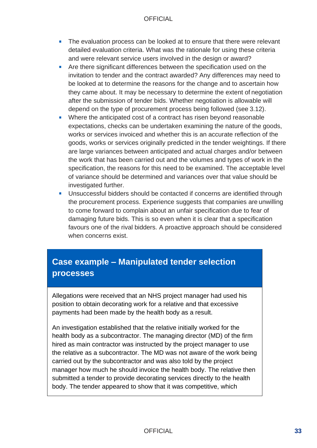- The evaluation process can be looked at to ensure that there were relevant detailed evaluation criteria. What was the rationale for using these criteria and were relevant service users involved in the design or award?
- Are there significant differences between the specification used on the invitation to tender and the contract awarded? Any differences may need to be looked at to determine the reasons for the change and to ascertain how they came about. It may be necessary to determine the extent of negotiation after the submission of tender bids. Whether negotiation is allowable will depend on the type of procurement process being followed (see 3.12).
- Where the anticipated cost of a contract has risen beyond reasonable expectations, checks can be undertaken examining the nature of the goods, works or services invoiced and whether this is an accurate reflection of the goods, works or services originally predicted in the tender weightings. If there are large variances between anticipated and actual charges and/or between the work that has been carried out and the volumes and types of work in the specification, the reasons for this need to be examined. The acceptable level of variance should be determined and variances over that value should be investigated further.
- **■** Unsuccessful bidders should be contacted if concerns are identified through the procurement process. Experience suggests that companies are unwilling to come forward to complain about an unfair specification due to fear of damaging future bids. This is so even when it is clear that a specification favours one of the rival bidders. A proactive approach should be considered when concerns exist.

## **Case example – Manipulated tender selection processes**

Allegations were received that an NHS project manager had used his position to obtain decorating work for a relative and that excessive payments had been made by the health body as a result.

An investigation established that the relative initially worked for the health body as a subcontractor. The managing director (MD) of the firm hired as main contractor was instructed by the project manager to use the relative as a subcontractor. The MD was not aware of the work being carried out by the subcontractor and was also told by the project manager how much he should invoice the health body. The relative then submitted a tender to provide decorating services directly to the health body. The tender appeared to show that it was competitive, which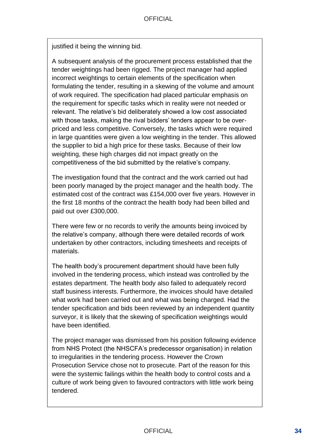justified it being the winning bid.

A subsequent analysis of the procurement process established that the tender weightings had been rigged. The project manager had applied incorrect weightings to certain elements of the specification when formulating the tender, resulting in a skewing of the volume and amount of work required. The specification had placed particular emphasis on the requirement for specific tasks which in reality were not needed or relevant. The relative's bid deliberately showed a low cost associated with those tasks, making the rival bidders' tenders appear to be overpriced and less competitive. Conversely, the tasks which were required in large quantities were given a low weighting in the tender. This allowed the supplier to bid a high price for these tasks. Because of their low weighting, these high charges did not impact greatly on the competitiveness of the bid submitted by the relative's company.

The investigation found that the contract and the work carried out had been poorly managed by the project manager and the health body. The estimated cost of the contract was £154,000 over five years. However in the first 18 months of the contract the health body had been billed and paid out over £300,000.

There were few or no records to verify the amounts being invoiced by the relative's company, although there were detailed records of work undertaken by other contractors, including timesheets and receipts of materials.

The health body's procurement department should have been fully involved in the tendering process, which instead was controlled by the estates department. The health body also failed to adequately record staff business interests. Furthermore, the invoices should have detailed what work had been carried out and what was being charged. Had the tender specification and bids been reviewed by an independent quantity surveyor, it is likely that the skewing of specification weightings would have been identified.

The project manager was dismissed from his position following evidence from NHS Protect (the NHSCFA's predecessor organisation) in relation to irregularities in the tendering process. However the Crown Prosecution Service chose not to prosecute. Part of the reason for this were the systemic failings within the health body to control costs and a culture of work being given to favoured contractors with little work being tendered.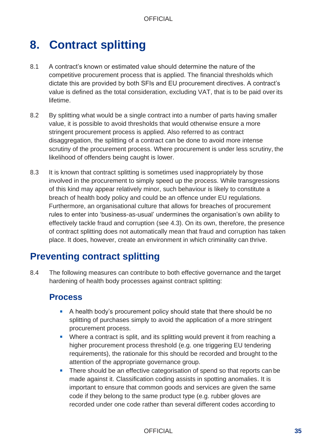# <span id="page-35-0"></span>**8. Contract splitting**

- 8.1 A contract's known or estimated value should determine the nature of the competitive procurement process that is applied. The financial thresholds which dictate this are provided by both SFIs and EU procurement directives. A contract's value is defined as the total consideration, excluding VAT, that is to be paid over its lifetime.
- 8.2 By splitting what would be a single contract into a number of parts having smaller value, it is possible to avoid thresholds that would otherwise ensure a more stringent procurement process is applied. Also referred to as contract disaggregation, the splitting of a contract can be done to avoid more intense scrutiny of the procurement process. Where procurement is under less scrutiny, the likelihood of offenders being caught is lower.
- 8.3 It is known that contract splitting is sometimes used inappropriately by those involved in the procurement to simply speed up the process. While transgressions of this kind may appear relatively minor, such behaviour is likely to constitute a breach of health body policy and could be an offence under EU regulations. Furthermore, an organisational culture that allows for breaches of procurement rules to enter into 'business-as-usual' undermines the organisation's own ability to effectively tackle fraud and corruption (see 4.3). On its own, therefore, the presence of contract splitting does not automatically mean that fraud and corruption has taken place. It does, however, create an environment in which criminality can thrive.

## <span id="page-35-1"></span>**Preventing contract splitting**

8.4 The following measures can contribute to both effective governance and the target hardening of health body processes against contract splitting:

### **Process**

- A health body's procurement policy should state that there should be no splitting of purchases simply to avoid the application of a more stringent procurement process.
- Where a contract is split, and its splitting would prevent it from reaching a higher procurement process threshold (e.g. one triggering EU tendering requirements), the rationale for this should be recorded and brought to the attention of the appropriate governance group.
- **EXECT** There should be an effective categorisation of spend so that reports can be made against it. Classification coding assists in spotting anomalies. It is important to ensure that common goods and services are given the same code if they belong to the same product type (e.g. rubber gloves are recorded under one code rather than several different codes according to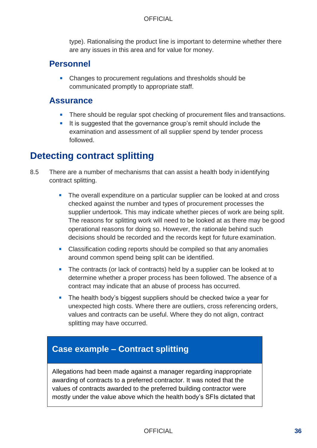type). Rationalising the product line is important to determine whether there are any issues in this area and for value for money.

### **Personnel**

■ Changes to procurement regulations and thresholds should be communicated promptly to appropriate staff.

### **Assurance**

- **EXECT** There should be regular spot checking of procurement files and transactions.
- **.** It is suggested that the governance group's remit should include the examination and assessment of all supplier spend by tender process followed.

## <span id="page-36-0"></span>**Detecting contract splitting**

- 8.5 There are a number of mechanisms that can assist a health body in identifying contract splitting.
	- The overall expenditure on a particular supplier can be looked at and cross checked against the number and types of procurement processes the supplier undertook. This may indicate whether pieces of work are being split. The reasons for splitting work will need to be looked at as there may be good operational reasons for doing so. However, the rationale behind such decisions should be recorded and the records kept for future examination.
	- **Classification coding reports should be compiled so that any anomalies** around common spend being split can be identified.
	- The contracts (or lack of contracts) held by a supplier can be looked at to determine whether a proper process has been followed. The absence of a contract may indicate that an abuse of process has occurred.
	- The health body's biggest suppliers should be checked twice a year for unexpected high costs. Where there are outliers, cross referencing orders, values and contracts can be useful. Where they do not align, contract splitting may have occurred.

## **Case example – Contract splitting**

Allegations had been made against a manager regarding inappropriate awarding of contracts to a preferred contractor. It was noted that the values of contracts awarded to the preferred building contractor were mostly under the value above which the health body's SFIs dictated that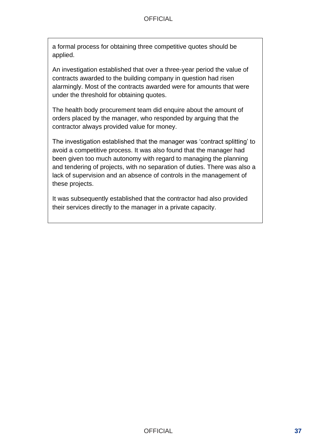a formal process for obtaining three competitive quotes should be applied.

An investigation established that over a three-year period the value of contracts awarded to the building company in question had risen alarmingly. Most of the contracts awarded were for amounts that were under the threshold for obtaining quotes.

The health body procurement team did enquire about the amount of orders placed by the manager, who responded by arguing that the contractor always provided value for money.

The investigation established that the manager was 'contract splitting' to avoid a competitive process. It was also found that the manager had been given too much autonomy with regard to managing the planning and tendering of projects, with no separation of duties. There was also a lack of supervision and an absence of controls in the management of these projects.

It was subsequently established that the contractor had also provided their services directly to the manager in a private capacity.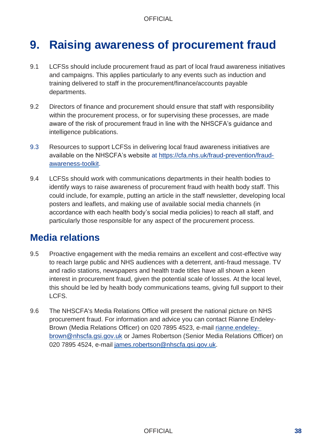# <span id="page-38-0"></span>**9. Raising awareness of procurement fraud**

- 9.1 LCFSs should include procurement fraud as part of local fraud awareness initiatives and campaigns. This applies particularly to any events such as induction and training delivered to staff in the procurement/finance/accounts payable departments.
- 9.2 Directors of finance and procurement should ensure that staff with responsibility within the procurement process, or for supervising these processes, are made aware of the risk of procurement fraud in line with the NHSCFA's guidance and intelligence publications.
- 9.3 Resources to support LCFSs in delivering local fraud awareness initiatives are available on the NHSCFA's website at [https://cfa.nhs.uk/fraud-prevention/fraud](https://cfa.nhs.uk/fraud-prevention/fraud-awareness-toolkit)[awareness-toolkit.](https://cfa.nhs.uk/fraud-prevention/fraud-awareness-toolkit)
- 9.4 LCFSs should work with communications departments in their health bodies to identify ways to raise awareness of procurement fraud with health body staff. This could include, for example, putting an article in the staff newsletter, developing local posters and leaflets, and making use of available social media channels (in accordance with each health body's social media policies) to reach all staff, and particularly those responsible for any aspect of the procurement process.

## <span id="page-38-1"></span>**Media relations**

- 9.5 Proactive engagement with the media remains an excellent and cost-effective way to reach large public and NHS audiences with a deterrent, anti-fraud message. TV and radio stations, newspapers and health trade titles have all shown a keen interest in procurement fraud, given the potential scale of losses. At the local level, this should be led by health body communications teams, giving full support to their LCFS.
- 9.6 The NHSCFA's Media Relations Office will present the national picture on NHS procurement fraud. For information and advice you can contact Rianne Endeley-Brown (Media Relations Officer) on 020 7895 4523, e-mail [rianne.endeley](mailto:katie.scott@nhsprotect.gsi.gov.uk)[brown@nhscfa.gsi.gov.uk](mailto:katie.scott@nhsprotect.gsi.gov.uk) or James Robertson (Senior Media Relations Officer) on 020 7895 4524, e-mail [james.robertson@nhscfa.gsi.gov.uk.](mailto:james.robertson@nhsprotect.gsi.gov.uk)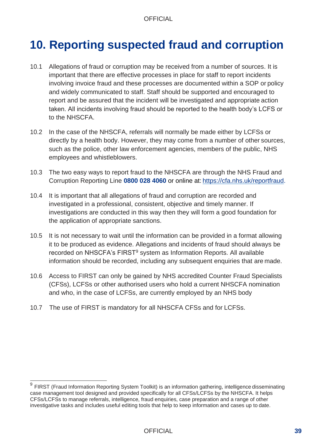# <span id="page-39-0"></span>**10. Reporting suspected fraud and corruption**

- 10.1 Allegations of fraud or corruption may be received from a number of sources. It is important that there are effective processes in place for staff to report incidents involving invoice fraud and these processes are documented within a SOP or policy and widely communicated to staff. Staff should be supported and encouraged to report and be assured that the incident will be investigated and appropriate action taken. All incidents involving fraud should be reported to the health body's LCFS or to the NHSCFA.
- 10.2 In the case of the NHSCFA, referrals will normally be made either by LCFSs or directly by a health body. However, they may come from a number of other sources, such as the police, other law enforcement agencies, members of the public, NHS employees and whistleblowers.
- 10.3 The two easy ways to report fraud to the NHSCFA are through the NHS Fraud and Corruption Reporting Line **0800 028 4060** or online at: [https://cfa.nhs.uk/reportfraud.](https://cfa.nhs.uk/reportfraud)
- 10.4 It is important that all allegations of fraud and corruption are recorded and investigated in a professional, consistent, objective and timely manner. If investigations are conducted in this way then they will form a good foundation for the application of appropriate sanctions.
- 10.5 It is not necessary to wait until the information can be provided in a format allowing it to be produced as evidence. Allegations and incidents of fraud should always be recorded on NHSCFA's FIRST<sup>9</sup> system as Information Reports. All available information should be recorded, including any subsequent enquiries that are made.
- 10.6 Access to FIRST can only be gained by NHS accredited Counter Fraud Specialists (CFSs), LCFSs or other authorised users who hold a current NHSCFA nomination and who, in the case of LCFSs, are currently employed by an NHS body
- 10.7 The use of FIRST is mandatory for all NHSCFA CFSs and for LCFSs.

<sup>&</sup>lt;sup>9</sup> FIRST (Fraud Information Reporting System Toolkit) is an information gathering, intelligence disseminating case management tool designed and provided specifically for all CFSs/LCFSs by the NHSCFA. It helps CFSs/LCFSs to manage referrals, intelligence, fraud enquiries, case preparation and a range of other investigative tasks and includes useful editing tools that help to keep information and cases up to date.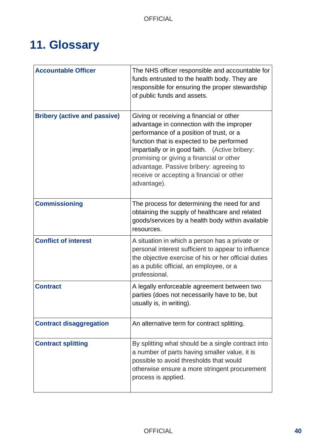# <span id="page-40-0"></span>**11. Glossary**

| <b>Accountable Officer</b>          | The NHS officer responsible and accountable for<br>funds entrusted to the health body. They are<br>responsible for ensuring the proper stewardship<br>of public funds and assets.                                                                                                                                                                                                   |
|-------------------------------------|-------------------------------------------------------------------------------------------------------------------------------------------------------------------------------------------------------------------------------------------------------------------------------------------------------------------------------------------------------------------------------------|
| <b>Bribery (active and passive)</b> | Giving or receiving a financial or other<br>advantage in connection with the improper<br>performance of a position of trust, or a<br>function that is expected to be performed<br>impartially or in good faith. (Active bribery:<br>promising or giving a financial or other<br>advantage. Passive bribery: agreeing to<br>receive or accepting a financial or other<br>advantage). |
| <b>Commissioning</b>                | The process for determining the need for and<br>obtaining the supply of healthcare and related<br>goods/services by a health body within available<br>resources.                                                                                                                                                                                                                    |
| <b>Conflict of interest</b>         | A situation in which a person has a private or<br>personal interest sufficient to appear to influence<br>the objective exercise of his or her official duties<br>as a public official, an employee, or a<br>professional.                                                                                                                                                           |
| <b>Contract</b>                     | A legally enforceable agreement between two<br>parties (does not necessarily have to be, but<br>usually is, in writing).                                                                                                                                                                                                                                                            |
| <b>Contract disaggregation</b>      | An alternative term for contract splitting.                                                                                                                                                                                                                                                                                                                                         |
| <b>Contract splitting</b>           | By splitting what should be a single contract into<br>a number of parts having smaller value, it is<br>possible to avoid thresholds that would<br>otherwise ensure a more stringent procurement<br>process is applied.                                                                                                                                                              |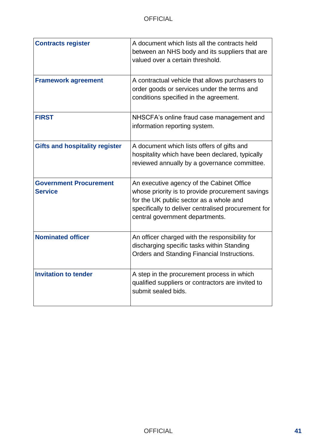| <b>Contracts register</b>                       | A document which lists all the contracts held<br>between an NHS body and its suppliers that are<br>valued over a certain threshold.                                                                                                |
|-------------------------------------------------|------------------------------------------------------------------------------------------------------------------------------------------------------------------------------------------------------------------------------------|
| <b>Framework agreement</b>                      | A contractual vehicle that allows purchasers to<br>order goods or services under the terms and<br>conditions specified in the agreement.                                                                                           |
| <b>FIRST</b>                                    | NHSCFA's online fraud case management and<br>information reporting system.                                                                                                                                                         |
| <b>Gifts and hospitality register</b>           | A document which lists offers of gifts and<br>hospitality which have been declared, typically<br>reviewed annually by a governance committee.                                                                                      |
| <b>Government Procurement</b><br><b>Service</b> | An executive agency of the Cabinet Office<br>whose priority is to provide procurement savings<br>for the UK public sector as a whole and<br>specifically to deliver centralised procurement for<br>central government departments. |
| <b>Nominated officer</b>                        | An officer charged with the responsibility for<br>discharging specific tasks within Standing<br>Orders and Standing Financial Instructions.                                                                                        |
| <b>Invitation to tender</b>                     | A step in the procurement process in which<br>qualified suppliers or contractors are invited to<br>submit sealed bids.                                                                                                             |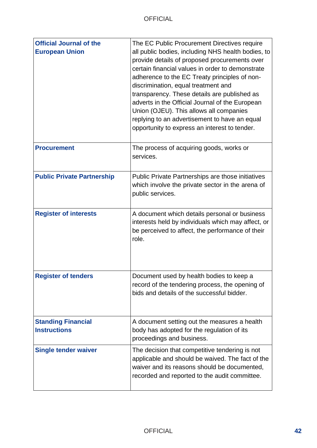| <b>Official Journal of the</b><br><b>European Union</b> | The EC Public Procurement Directives require<br>all public bodies, including NHS health bodies, to<br>provide details of proposed procurements over<br>certain financial values in order to demonstrate<br>adherence to the EC Treaty principles of non-<br>discrimination, equal treatment and<br>transparency. These details are published as<br>adverts in the Official Journal of the European<br>Union (OJEU). This allows all companies<br>replying to an advertisement to have an equal<br>opportunity to express an interest to tender. |
|---------------------------------------------------------|-------------------------------------------------------------------------------------------------------------------------------------------------------------------------------------------------------------------------------------------------------------------------------------------------------------------------------------------------------------------------------------------------------------------------------------------------------------------------------------------------------------------------------------------------|
| <b>Procurement</b>                                      | The process of acquiring goods, works or<br>services.                                                                                                                                                                                                                                                                                                                                                                                                                                                                                           |
| <b>Public Private Partnership</b>                       | Public Private Partnerships are those initiatives<br>which involve the private sector in the arena of<br>public services.                                                                                                                                                                                                                                                                                                                                                                                                                       |
| <b>Register of interests</b>                            | A document which details personal or business<br>interests held by individuals which may affect, or<br>be perceived to affect, the performance of their<br>role.                                                                                                                                                                                                                                                                                                                                                                                |
| <b>Register of tenders</b>                              | Document used by health bodies to keep a<br>record of the tendering process, the opening of<br>bids and details of the successful bidder.                                                                                                                                                                                                                                                                                                                                                                                                       |
| <b>Standing Financial</b><br><b>Instructions</b>        | A document setting out the measures a health<br>body has adopted for the regulation of its<br>proceedings and business.                                                                                                                                                                                                                                                                                                                                                                                                                         |
| <b>Single tender waiver</b>                             | The decision that competitive tendering is not<br>applicable and should be waived. The fact of the<br>waiver and its reasons should be documented,<br>recorded and reported to the audit committee.                                                                                                                                                                                                                                                                                                                                             |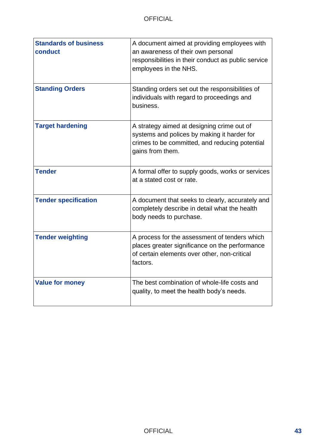| <b>Standards of business</b><br>conduct | A document aimed at providing employees with<br>an awareness of their own personal<br>responsibilities in their conduct as public service<br>employees in the NHS. |
|-----------------------------------------|--------------------------------------------------------------------------------------------------------------------------------------------------------------------|
| <b>Standing Orders</b>                  | Standing orders set out the responsibilities of<br>individuals with regard to proceedings and<br>business.                                                         |
| <b>Target hardening</b>                 | A strategy aimed at designing crime out of<br>systems and polices by making it harder for<br>crimes to be committed, and reducing potential<br>gains from them.    |
| <b>Tender</b>                           | A formal offer to supply goods, works or services<br>at a stated cost or rate.                                                                                     |
| <b>Tender specification</b>             | A document that seeks to clearly, accurately and<br>completely describe in detail what the health<br>body needs to purchase.                                       |
| <b>Tender weighting</b>                 | A process for the assessment of tenders which<br>places greater significance on the performance<br>of certain elements over other, non-critical<br>factors.        |
| <b>Value for money</b>                  | The best combination of whole-life costs and<br>quality, to meet the health body's needs.                                                                          |